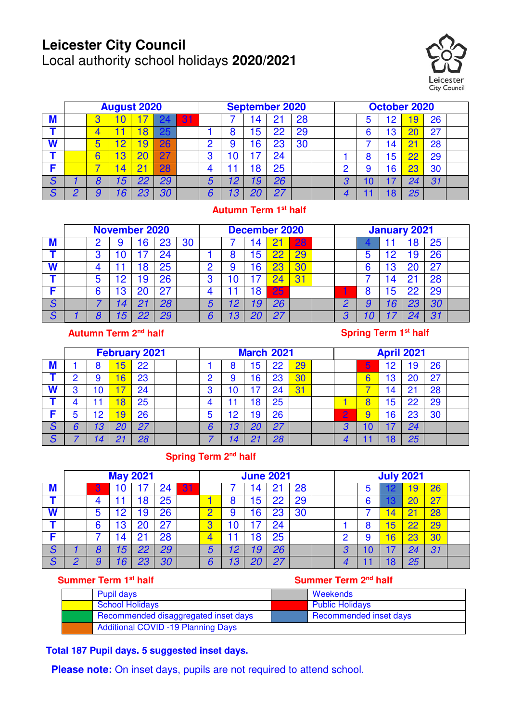# **Leicester City Council**

Local authority school holidays **2020/2021** 



|   | <b>August 2020</b> |   |                 |    |    |    |        | <b>September 2020</b> |    |    |    |  | October 2020 |  |    |          |    |  |
|---|--------------------|---|-----------------|----|----|----|--------|-----------------------|----|----|----|--|--------------|--|----|----------|----|--|
| M |                    |   |                 |    |    | 31 |        |                       | 4  | n. | 28 |  |              |  |    | 9        | 26 |  |
|   |                    |   |                 |    | 25 |    |        |                       | 5  | 22 | 29 |  |              |  | Ι3 |          | 27 |  |
| W |                    | U | Ω               | 9  | 26 |    | n      |                       | 16 | 23 | 30 |  |              |  |    |          | 28 |  |
|   |                    |   |                 |    | 27 |    | n<br>u |                       |    | 24 |    |  |              |  | :5 |          | 29 |  |
|   |                    |   |                 |    | 28 |    |        |                       | 8  | 25 |    |  |              |  | 6  | no<br>دے | 30 |  |
| S |                    | Ο | '5              | 22 | 29 |    | 5      | $\overline{2}$        | 19 | 26 |    |  | ο            |  |    |          | 31 |  |
| S |                    |   | $6\overline{6}$ | 23 | 30 |    |        |                       |    | 27 |    |  |              |  |    | 25       |    |  |

#### **Autumn Term 1st half**

|               | <b>November 2020</b> |   |                |    |    |    |        | <b>December 2020</b> |    |              |    |  | <b>January 2021</b> |  |        |      |     |  |
|---------------|----------------------|---|----------------|----|----|----|--------|----------------------|----|--------------|----|--|---------------------|--|--------|------|-----|--|
| <b>M</b>      |                      |   |                | 6  | 23 | 30 |        |                      | 4  |              | 28 |  |                     |  |        |      | 25  |  |
|               |                      | റ |                |    | 24 |    |        |                      | 5  | $\mathbf{P}$ |    |  |                     |  |        | 9    | 26  |  |
| W             |                      |   |                | '8 | 25 |    |        |                      | 16 | 23           |    |  |                     |  | o<br>ڻ |      | -27 |  |
|               |                      | 5 | 2              | 9  | 26 |    | n<br>u |                      |    |              |    |  |                     |  | 4      | - 01 | 28  |  |
|               |                      | 6 | Ι3             | 20 | 27 |    |        |                      | 18 | 25           |    |  |                     |  | 5      | פפ   | 29  |  |
| S             |                      |   |                | 01 | 28 |    | b      | 12                   | 19 | 26           |    |  |                     |  |        |      | 30  |  |
| $\mathcal{S}$ |                      |   | $\overline{5}$ | 22 | 29 |    |        | l 3                  |    | クフ           |    |  |                     |  |        |      | 31  |  |

### 15 **Autumn Term 2nd half**

#### **Spring Term 1st half**

|        | <b>February 2021</b> |        |    |    |  | <b>March 2021</b> |   |    |    |    |            | <b>April 2021</b> |   |   |                |                |    |  |
|--------|----------------------|--------|----|----|--|-------------------|---|----|----|----|------------|-------------------|---|---|----------------|----------------|----|--|
| M      |                      | О<br>O | 5  | 22 |  |                   |   |    | .5 | 22 | 29         |                   |   | 5 | '2             | و'             | 26 |  |
|        | c                    | 9      | 6  | 23 |  |                   | n |    | 6  | 23 | 30         |                   |   |   | 13             | 20             | 27 |  |
| W      | 3                    | 10     |    | 24 |  |                   | 0 | 10 |    | 24 | $\sqrt{3}$ |                   |   |   | $\overline{4}$ | 2 <sup>1</sup> | 28 |  |
|        |                      |        | 8  | 25 |  |                   |   |    | 8  | 25 |            |                   |   |   | 5              | 22             | 29 |  |
|        | b                    | 2ا     | 9  | 26 |  |                   | 5 | '2 | و۱ | 26 |            |                   | 2 |   | 16             | 23             | 30 |  |
| S      | 6                    | 13     | 20 | 27 |  |                   |   | 13 | 20 | 27 |            |                   | n |   |                | 24             |    |  |
| r<br>O |                      | 14     |    | 28 |  |                   |   |    |    | 28 |            |                   |   |   |                | 25             |    |  |

### **Spring Term 2nd half**

|               | <b>May 2021</b> |   |   |     |    |    |                               | <b>June 2021</b> |    |       |    |  | <b>July 2021</b> |   |    |                |           |  |
|---------------|-----------------|---|---|-----|----|----|-------------------------------|------------------|----|-------|----|--|------------------|---|----|----------------|-----------|--|
| M             |                 | 3 |   |     | 24 | 31 |                               |                  | 4  |       | 28 |  |                  |   |    | У              | 26        |  |
|               |                 |   |   | 8   | 25 |    |                               |                  | 5  | 22    | 29 |  |                  | 6 |    |                | <b>27</b> |  |
| W             |                 | b | 2 | 9   | 26 |    |                               |                  | 6  | 23    | 30 |  |                  |   |    | 2 <sup>1</sup> | 28        |  |
|               |                 | 6 | ვ | 20  | 27 |    | $\overline{\phantom{a}}$<br>u |                  |    | 24    |    |  |                  |   | 15 | 22             | 29        |  |
|               |                 |   | 4 | יכי | 28 |    |                               |                  | 8  | 25    |    |  |                  |   | 6  | 23             | 30        |  |
| S             |                 | Ο | 5 | 22  | 29 |    | 5                             | 12               | 19 | 26    |    |  | η                | U |    | 24             | 31        |  |
| $\mathcal{S}$ |                 | 9 | 6 | 23  | 30 |    |                               | 13               |    | $-27$ |    |  |                  |   |    | 25             |           |  |

### **Summer Term 1st half Summer Term 2nd half**

| Pupil days                                | Weekends               |
|-------------------------------------------|------------------------|
| <b>School Holidays</b>                    | <b>Public Holidays</b> |
| Recommended disaggregated inset days      | Recommended inset days |
| <b>Additional COVID -19 Planning Days</b> |                        |

### **Total 187 Pupil days. 5 suggested inset days.**

**Please note:** On inset days, pupils are not required to attend school.